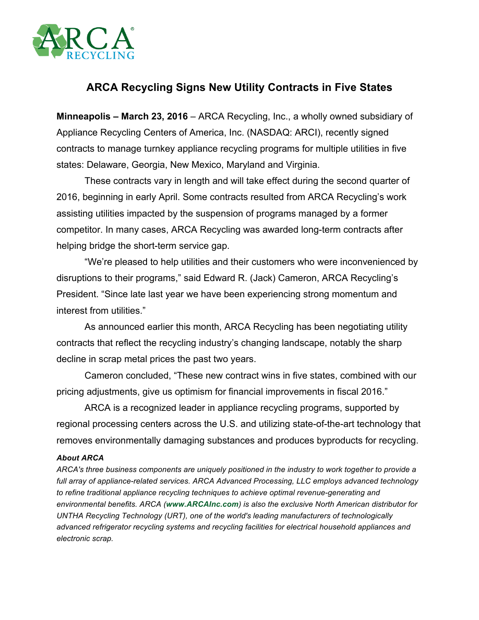

## **ARCA Recycling Signs New Utility Contracts in Five States**

**Minneapolis – March 23, 2016** – ARCA Recycling, Inc., a wholly owned subsidiary of Appliance Recycling Centers of America, Inc. (NASDAQ: ARCI), recently signed contracts to manage turnkey appliance recycling programs for multiple utilities in five states: Delaware, Georgia, New Mexico, Maryland and Virginia.

These contracts vary in length and will take effect during the second quarter of 2016, beginning in early April. Some contracts resulted from ARCA Recycling's work assisting utilities impacted by the suspension of programs managed by a former competitor. In many cases, ARCA Recycling was awarded long-term contracts after helping bridge the short-term service gap.

"We're pleased to help utilities and their customers who were inconvenienced by disruptions to their programs," said Edward R. (Jack) Cameron, ARCA Recycling's President. "Since late last year we have been experiencing strong momentum and interest from utilities."

As announced earlier this month, ARCA Recycling has been negotiating utility contracts that reflect the recycling industry's changing landscape, notably the sharp decline in scrap metal prices the past two years.

Cameron concluded, "These new contract wins in five states, combined with our pricing adjustments, give us optimism for financial improvements in fiscal 2016."

ARCA is a recognized leader in appliance recycling programs, supported by regional processing centers across the U.S. and utilizing state-of-the-art technology that removes environmentally damaging substances and produces byproducts for recycling.

## *About ARCA*

*ARCA's three business components are uniquely positioned in the industry to work together to provide a full array of appliance-related services. ARCA Advanced Processing, LLC employs advanced technology to refine traditional appliance recycling techniques to achieve optimal revenue-generating and environmental benefits. ARCA (www.ARCAInc.com) is also the exclusive North American distributor for UNTHA Recycling Technology (URT), one of the world's leading manufacturers of technologically advanced refrigerator recycling systems and recycling facilities for electrical household appliances and electronic scrap.*